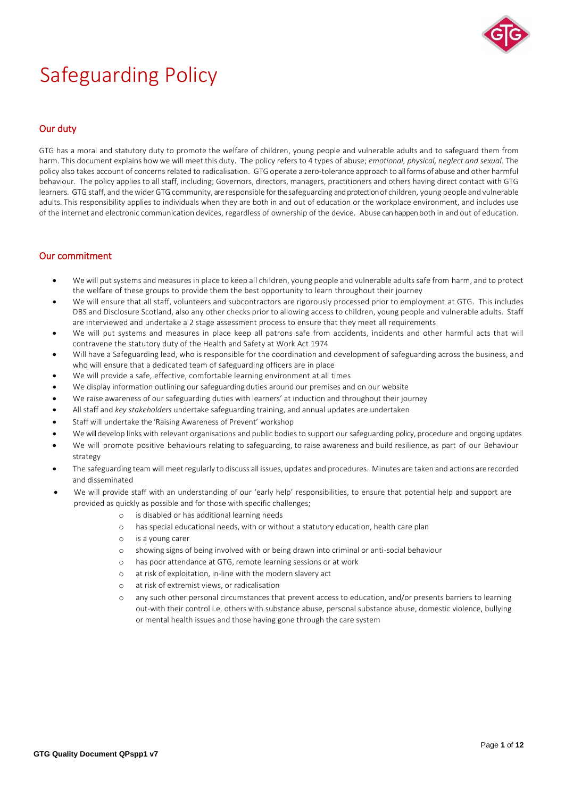

# Safeguarding Policy

# Our duty

GTG has a moral and statutory duty to promote the welfare of children, young people and vulnerable adults and to safeguard them from harm. This document explains how we will meet this duty. The policy refers to 4 types of abuse; *emotional, physical, neglect and sexual*. The policy also takes account of concerns related to radicalisation. GTG operate a zero-tolerance approach to all forms of abuse and other harmful behaviour. The policy applies to all staff, including; Governors, directors, managers, practitioners and others having direct contact with GTG learners. GTG staff, and thewider GTG community, areresponsible forthe safeguarding and protection of children, young people and vulnerable adults. This responsibility applies to individuals when they are both in and out of education or the workplace environment, and includes use of the internet and electronic communication devices, regardless of ownership of the device. Abuse can happen both in and out of education.

# Our commitment

- We will put systems and measures in place to keep all children, young people and vulnerable adults safe from harm, and to protect the welfare of these groups to provide them the best opportunity to learn throughout their journey
- We will ensure that all staff, volunteers and subcontractors are rigorously processed prior to employment at GTG. This includes DBS and Disclosure Scotland, also any other checks prior to allowing access to children, young people and vulnerable adults. Staff are interviewed and undertake a 2 stage assessment process to ensure that they meet all requirements
- We will put systems and measures in place keep all patrons safe from accidents, incidents and other harmful acts that will contravene the statutory duty of the Health and Safety at Work Act 1974
- Will have a Safeguarding lead, who is responsible for the coordination and development of safeguarding across the business, and who will ensure that a dedicated team of safeguarding officers are in place
- We will provide a safe, effective, comfortable learning environment at all times
- We display information outlining our safeguarding duties around our premises and on our website
- We raise awareness of our safeguarding duties with learners' at induction and throughout their journey
- All staff and *key stakeholders* undertake safeguarding training, and annual updates are undertaken
- Staff will undertake the 'Raising Awareness of Prevent' workshop
- We will develop links with relevant organisations and public bodies to support our safeguarding policy, procedure and ongoing updates
- We will promote positive behaviours relating to safeguarding, to raise awareness and build resilience, as part of our Behaviour strategy
- The safeguarding team will meet regularly to discuss all issues, updates and procedures. Minutes are taken and actions arerecorded and disseminated
- We will provide staff with an understanding of our 'early help' responsibilities, to ensure that potential help and support are provided as quickly as possible and for those with specific challenges;
	- o is disabled or has additional learning needs
	- o has special educational needs, with or without a statutory education, health care plan
	- o is a young carer
	- o showing signs of being involved with or being drawn into criminal or anti-social behaviour
	- o has poor attendance at GTG, remote learning sessions or at work
	- o at risk of exploitation, in-line with the modern slavery act
	- o at risk of extremist views, or radicalisation
	- o any such other personal circumstances that prevent access to education, and/or presents barriers to learning out-with their control i.e. others with substance abuse, personal substance abuse, domestic violence, bullying or mental health issues and those having gone through the care system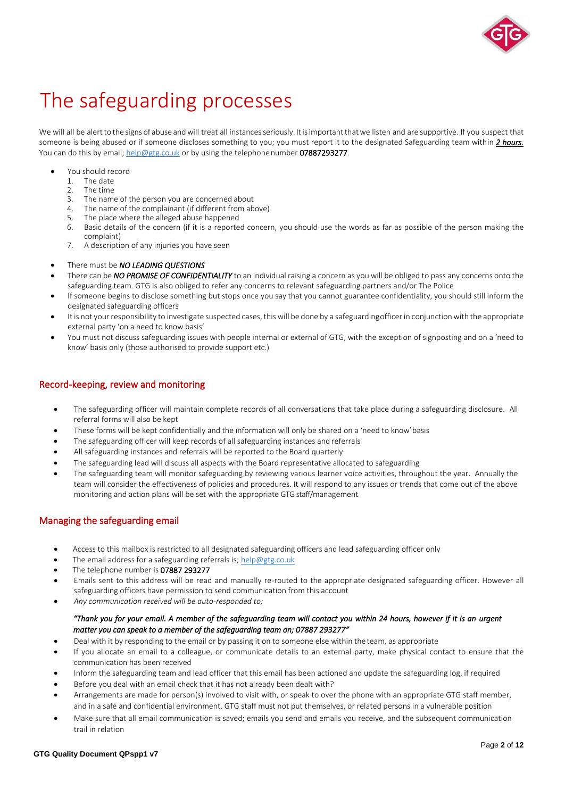

# The safeguarding processes

We will all be alert to the signs of abuse and will treat all instances seriously. It is important that we listen and are supportive. If you suspect that someone is being abused or if someone discloses something to you; you must report it to the designated Safeguarding team within *2 hours*. You can do this by email; [help@gtg.co.uk](mailto:help@gtg.co.uk) or by using the telephonenumber 07887293277.

- You should record
	- 1. The date
	- 2. The time<br>3. The name
	- The name of the person you are concerned about
	- 4. The name of the complainant (if different from above)
	- The place where the alleged abuse happened
	- 6. Basic details of the concern (if it is a reported concern, you should use the words as far as possible of the person making the complaint)
	- 7. A description of any injuries you have seen
- There must be *NO LEADING QUESTIONS*
- There can be *NO PROMISE OF CONFIDENTIALITY* to an individual raising a concern as you will be obliged to pass any concerns onto the safeguarding team. GTG is also obliged to refer any concerns to relevant safeguarding partners and/or The Police
- If someone begins to disclose something but stops once you say that you cannot guarantee confidentiality, you should still inform the designated safeguarding officers
- It is not your responsibility to investigate suspected cases, this will be done by a safeguardingofficer in conjunction with the appropriate external party 'on a need to know basis'
- You must not discuss safeguarding issues with people internal or external of GTG, with the exception of signposting and on a 'need to know' basis only (those authorised to provide support etc.)

# Record-keeping, review and monitoring

- The safeguarding officer will maintain complete records of all conversations that take place during a safeguarding disclosure. All referral forms will also be kept
- These forms will be kept confidentially and the information will only be shared on a 'need to know' basis
- The safeguarding officer will keep records of all safeguarding instances and referrals
- All safeguarding instances and referrals will be reported to the Board quarterly
- The safeguarding lead will discuss all aspects with the Board representative allocated to safeguarding
- The safeguarding team will monitor safeguarding by reviewing various learner voice activities, throughout the year. Annually the team will consider the effectiveness of policies and procedures. It will respond to any issues or trends that come out of the above monitoring and action plans will be set with the appropriate GTG staff/management

# Managing the safeguarding email

- Access to this mailbox is restricted to all designated safeguarding officers and lead safeguarding officer only
- The email address for a safeguarding referrals is; [help@gtg.co.uk](mailto:help@gtg.co.uk)
- The telephone number is 07887 293277
- Emails sent to this address will be read and manually re-routed to the appropriate designated safeguarding officer. However all safeguarding officers have permission to send communication from this account
- *Any communication received will be auto-responded to;*

# *"Thank you for your email. A member of the safeguarding team will contact you within 24 hours, however if it is an urgent matter you can speak to a member of the safeguarding team on; 07887 293277"*

- Deal with it by responding to the email or by passing it on to someone else within the team, as appropriate
- If you allocate an email to a colleague, or communicate details to an external party, make physical contact to ensure that the communication has been received
- Inform the safeguarding team and lead officer that this email has been actioned and update the safeguarding log, if required
- Before you deal with an email check that it has not already been dealt with?
- Arrangements are made for person(s) involved to visit with, or speak to over the phone with an appropriate GTG staff member, and in a safe and confidential environment. GTG staff must not put themselves, or related persons in a vulnerable position
- Make sure that all email communication is saved; emails you send and emails you receive, and the subsequent communication trail in relation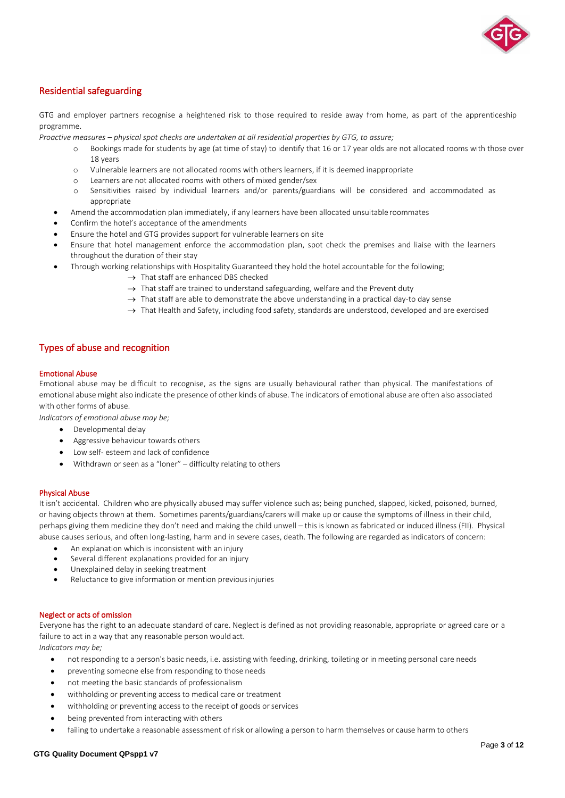

# Residential safeguarding

GTG and employer partners recognise a heightened risk to those required to reside away from home, as part of the apprenticeship programme.

*Proactive measures – physical spot checks are undertaken at all residential properties by GTG, to assure;*

- o Bookings made for students by age (at time of stay) to identify that 16 or 17 year olds are not allocated rooms with those over 18 years
- o Vulnerable learners are not allocated rooms with others learners, if it is deemed inappropriate
- Learners are not allocated rooms with others of mixed gender/sex
- o Sensitivities raised by individual learners and/or parents/guardians will be considered and accommodated as appropriate
- Amend the accommodation plan immediately, if any learners have been allocated unsuitable roommates
- Confirm the hotel's acceptance of the amendments
- Ensure the hotel and GTG provides support for vulnerable learners on site
- Ensure that hotel management enforce the accommodation plan, spot check the premises and liaise with the learners throughout the duration of their stay
- Through working relationships with Hospitality Guaranteed they hold the hotel accountable for the following;
	- $\rightarrow$  That staff are enhanced DBS checked
	- $\rightarrow$  That staff are trained to understand safeguarding, welfare and the Prevent duty
	- $\rightarrow$  That staff are able to demonstrate the above understanding in a practical day-to day sense
	- → That Health and Safety, including food safety, standards are understood, developed and are exercised

# Types of abuse and recognition

### Emotional Abuse

Emotional abuse may be difficult to recognise, as the signs are usually behavioural rather than physical. The manifestations of emotional abuse might also indicate the presence of other kinds of abuse. The indicators of emotional abuse are often also associated with other forms of abuse.

*Indicators of emotional abuse may be;*

- Developmental delay
- Aggressive behaviour towards others
- Low self- esteem and lack of confidence
- Withdrawn or seen as a "loner" difficulty relating to others

# Physical Abuse

It isn't accidental. Children who are physically abused may suffer violence such as; being punched, slapped, kicked, poisoned, burned, or having objects thrown at them. Sometimes parents/guardians/carers will make up or cause the symptoms of illness in their child, perhaps giving them medicine they don't need and making the child unwell – this is known as fabricated or induced illness (FII). Physical abuse causes serious, and often long-lasting, harm and in severe cases, death. The following are regarded as indicators of concern:

- An explanation which is inconsistent with an injury
- Several different explanations provided for an injury
- Unexplained delay in seeking treatment
- Reluctance to give information or mention previous injuries

#### Neglect or acts of omission

Everyone has the right to an adequate standard of care. Neglect is defined as not providing reasonable, appropriate or agreed care or a failure to act in a way that any reasonable person would act.

*Indicators may be;*

- not responding to a person's basic needs, i.e. assisting with feeding, drinking, toileting or in meeting personal care needs
- preventing someone else from responding to those needs
- not meeting the basic standards of professionalism
- withholding or preventing access to medical care or treatment
- withholding or preventing access to the receipt of goods or services
- being prevented from interacting with others
- failing to undertake a reasonable assessment of risk or allowing a person to harm themselves or cause harm to others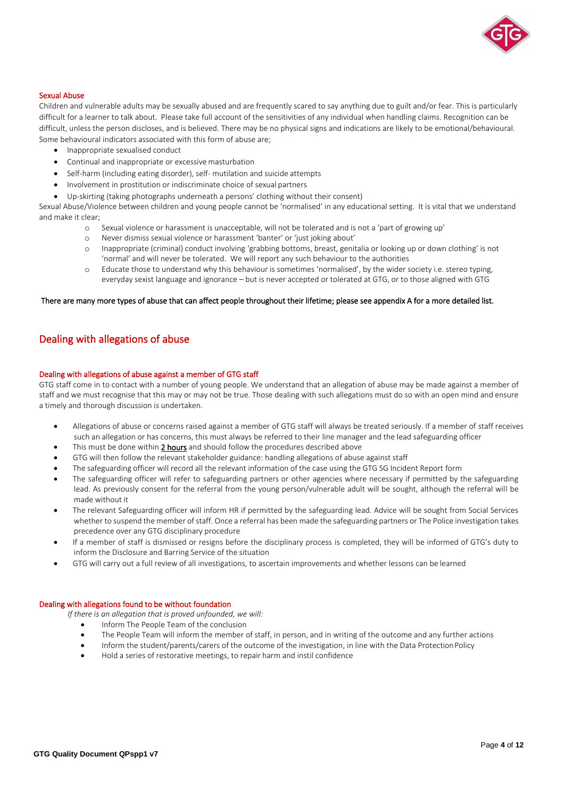

#### Sexual Abuse

Children and vulnerable adults may be sexually abused and are frequently scared to say anything due to guilt and/or fear. This is particularly difficult for a learner to talk about. Please take full account of the sensitivities of any individual when handling claims. Recognition can be difficult, unless the person discloses, and is believed. There may be no physical signs and indications are likely to be emotional/behavioural. Some behavioural indicators associated with this form of abuse are;

- Inappropriate sexualised conduct
- Continual and inappropriate or excessive masturbation
- Self-harm (including eating disorder), self- mutilation and suicide attempts
- Involvement in prostitution or indiscriminate choice of sexual partners
- Up-skirting (taking photographs underneath a persons' clothing without their consent)

Sexual Abuse/Violence between children and young people cannot be 'normalised' in any educational setting. It is vital that we understand and make it clear;

- o Sexual violence or harassment is unacceptable, will not be tolerated and is not a 'part of growing up'
- Never dismiss sexual violence or harassment 'banter' or 'just joking about'
- o Inappropriate (criminal) conduct involving 'grabbing bottoms, breast, genitalia or looking up or down clothing' is not 'normal' and will never be tolerated. We will report any such behaviour to the authorities
- o Educate those to understand why this behaviour is sometimes 'normalised', by the wider society i.e. stereo typing, everyday sexist language and ignorance – but is never accepted or tolerated at GTG, or to those aligned with GTG

#### There are many more types of abuse that can affect people throughout their lifetime; please see appendix A for a more detailed list.

# Dealing with allegations of abuse

#### Dealing with allegations of abuse against a member of GTG staff

GTG staff come in to contact with a number of young people. We understand that an allegation of abuse may be made against a member of staff and we must recognise that this may or may not be true. Those dealing with such allegations must do so with an open mind and ensure a timely and thorough discussion is undertaken.

- Allegations of abuse or concerns raised against a member of GTG staff will always be treated seriously. If a member of staff receives such an allegation or has concerns, this must always be referred to their line manager and the lead safeguarding officer
- This must be done within 2 hours and should follow the procedures described above
- GTG will then follow the relevant stakeholder guidance: handling allegations of abuse against staff
- The safeguarding officer will record all the relevant information of the case using the GTG SG Incident Report form
- The safeguarding officer will refer to safeguarding partners or other agencies where necessary if permitted by the safeguarding lead. As previously consent for the referral from the young person/vulnerable adult will be sought, although the referral will be made without it
- The relevant Safeguarding officer will inform HR if permitted by the safeguarding lead. Advice will be sought from Social Services whether to suspend the member of staff. Once a referral has been made the safeguarding partners or The Police investigation takes precedence over any GTG disciplinary procedure
- If a member of staff is dismissed or resigns before the disciplinary process is completed, they will be informed of GTG's duty to inform the Disclosure and Barring Service of the situation
- GTG will carry out a full review of all investigations, to ascertain improvements and whether lessons can be learned

# Dealing with allegations found to be without foundation

*If there is an allegation that is proved unfounded, we will:*

- Inform The People Team of the conclusion
- The People Team will inform the member of staff, in person, and in writing of the outcome and any further actions
- Inform the student/parents/carers of the outcome of the investigation, in line with the Data ProtectionPolicy
- Hold a series of restorative meetings, to repair harm and instil confidence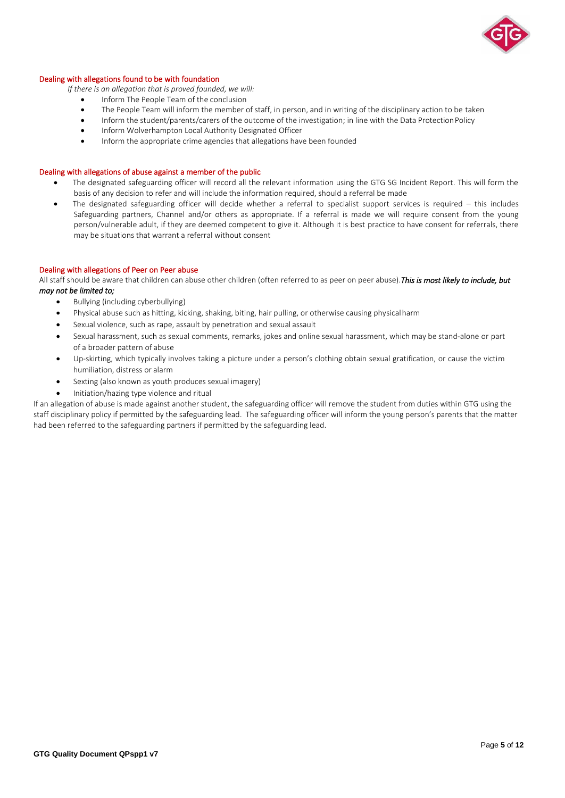

### Dealing with allegations found to be with foundation

*If there is an allegation that is proved founded, we will:*

- Inform The People Team of the conclusion
- The People Team will inform the member of staff, in person, and in writing of the disciplinary action to be taken<br>• Inform the student/parents/carers of the outcome of the investigation: in line with the Data Protection
- Inform the student/parents/carers of the outcome of the investigation; in line with the Data ProtectionPolicy
- Inform Wolverhampton Local Authority Designated Officer
- Inform the appropriate crime agencies that allegations have been founded

# Dealing with allegations of abuse against a member of the public

- The designated safeguarding officer will record all the relevant information using the GTG SG Incident Report. This will form the basis of any decision to refer and will include the information required, should a referral be made
- The designated safeguarding officer will decide whether a referral to specialist support services is required this includes Safeguarding partners, Channel and/or others as appropriate. If a referral is made we will require consent from the young person/vulnerable adult, if they are deemed competent to give it. Although it is best practice to have consent for referrals, there may be situations that warrant a referral without consent

#### Dealing with allegations of Peer on Peer abuse

All staff should be aware that children can abuse other children (often referred to as peer on peer abuse).*This is most likely to include, but may not be limited to;* 

- Bullying (including cyberbullying)
- Physical abuse such as hitting, kicking, shaking, biting, hair pulling, or otherwise causing physicalharm
- Sexual violence, such as rape, assault by penetration and sexual assault
- Sexual harassment, such as sexual comments, remarks, jokes and online sexual harassment, which may be stand-alone or part of a broader pattern of abuse
- Up-skirting, which typically involves taking a picture under a person's clothing obtain sexual gratification, or cause the victim humiliation, distress or alarm
- Sexting (also known as youth produces sexual imagery)
- Initiation/hazing type violence and ritual

If an allegation of abuse is made against another student, the safeguarding officer will remove the student from duties within GTG using the staff disciplinary policy if permitted by the safeguarding lead. The safeguarding officer will inform the young person's parents that the matter had been referred to the safeguarding partners if permitted by the safeguarding lead.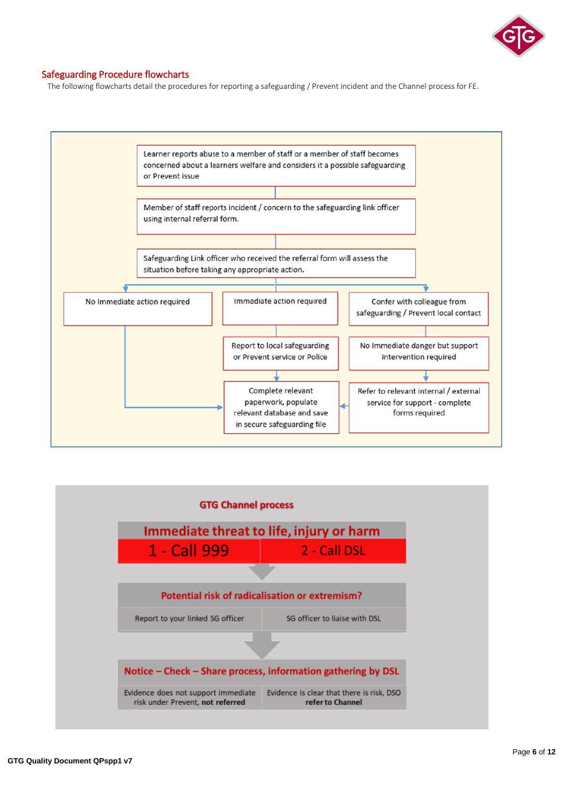

# Safeguarding Procedure flowcharts

The following flowcharts detail the procedures for reporting a safeguarding / Prevent incident and the Channel process for FE.



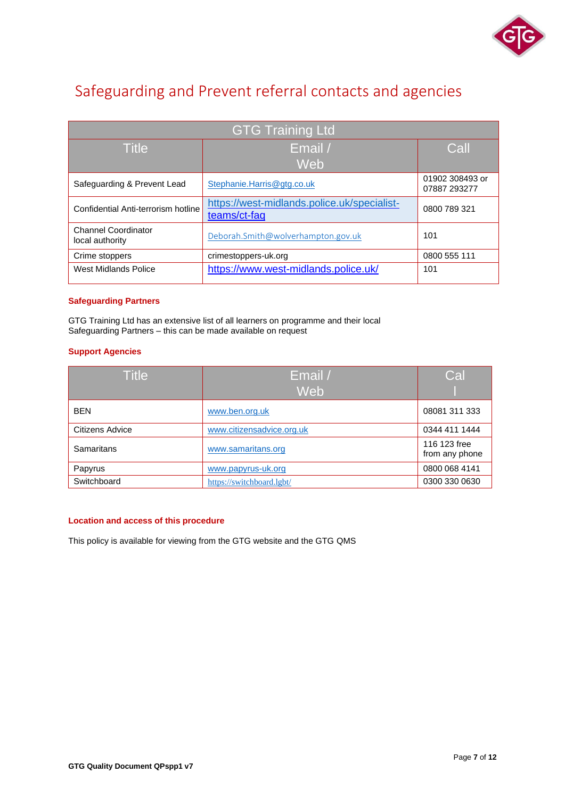

# Safeguarding and Prevent referral contacts and agencies

| <b>GTG Training Ltd</b>                       |                                                             |                                 |  |  |  |
|-----------------------------------------------|-------------------------------------------------------------|---------------------------------|--|--|--|
| <b>Title</b>                                  | Email /                                                     | Call                            |  |  |  |
|                                               | Web                                                         |                                 |  |  |  |
| Safeguarding & Prevent Lead                   | Stephanie.Harris@gtg.co.uk                                  | 01902 308493 or<br>07887 293277 |  |  |  |
| Confidential Anti-terrorism hotline           | https://west-midlands.police.uk/specialist-<br>teams/ct-faq | 0800 789 321                    |  |  |  |
| <b>Channel Coordinator</b><br>local authority | Deborah.Smith@wolverhampton.gov.uk                          | 101                             |  |  |  |
| Crime stoppers                                | crimestoppers-uk.org                                        | 0800 555 111                    |  |  |  |
| West Midlands Police                          | https://www.west-midlands.police.uk/                        | 101                             |  |  |  |

# **Safeguarding Partners**

GTG Training Ltd has an extensive list of all learners on programme and their local Safeguarding Partners – this can be made available on request

# **Support Agencies**

| <b>Title</b>    | Email /                   | Cal                            |
|-----------------|---------------------------|--------------------------------|
|                 | Web                       |                                |
| <b>BEN</b>      | www.ben.org.uk            | 08081 311 333                  |
| Citizens Advice | www.citizensadvice.org.uk | 0344 411 1444                  |
| Samaritans      | www.samaritans.org        | 116 123 free<br>from any phone |
| Papyrus         | www.papyrus-uk.org        | 0800 068 4141                  |
| Switchboard     | https://switchboard.lgbt/ | 0300 330 0630                  |

# **Location and access of this procedure**

This policy is available for viewing from the GTG website and the GTG QMS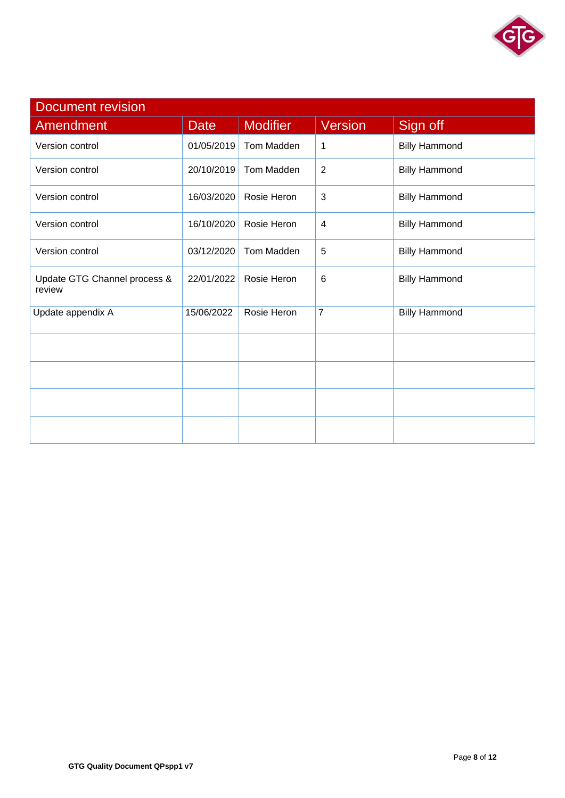

| <b>Document revision</b>               |             |                 |                |                      |  |  |
|----------------------------------------|-------------|-----------------|----------------|----------------------|--|--|
| Amendment                              | <b>Date</b> | <b>Modifier</b> | Version        | Sign off             |  |  |
| Version control                        | 01/05/2019  | Tom Madden      | 1              | <b>Billy Hammond</b> |  |  |
| Version control                        | 20/10/2019  | Tom Madden      | $\overline{2}$ | <b>Billy Hammond</b> |  |  |
| Version control                        | 16/03/2020  | Rosie Heron     | 3              | <b>Billy Hammond</b> |  |  |
| Version control                        | 16/10/2020  | Rosie Heron     | $\overline{4}$ | <b>Billy Hammond</b> |  |  |
| Version control                        | 03/12/2020  | Tom Madden      | 5              | <b>Billy Hammond</b> |  |  |
| Update GTG Channel process &<br>review | 22/01/2022  | Rosie Heron     | 6              | <b>Billy Hammond</b> |  |  |
| Update appendix A                      | 15/06/2022  | Rosie Heron     | $\overline{7}$ | <b>Billy Hammond</b> |  |  |
|                                        |             |                 |                |                      |  |  |
|                                        |             |                 |                |                      |  |  |
|                                        |             |                 |                |                      |  |  |
|                                        |             |                 |                |                      |  |  |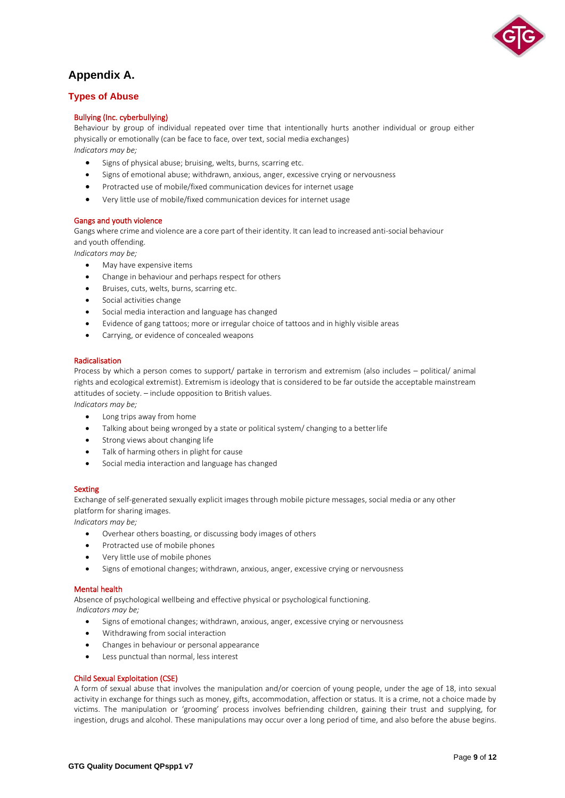

# **Appendix A.**

# **Types of Abuse**

# Bullying (Inc. cyberbullying)

Behaviour by group of individual repeated over time that intentionally hurts another individual or group either physically or emotionally (can be face to face, over text, social media exchanges) *Indicators may be;*

- Signs of physical abuse; bruising, welts, burns, scarring etc.
- Signs of emotional abuse; withdrawn, anxious, anger, excessive crying or nervousness
- Protracted use of mobile/fixed communication devices for internet usage
- Very little use of mobile/fixed communication devices for internet usage

# Gangs and youth violence

Gangs where crime and violence are a core part of their identity. It can lead to increased anti-social behaviour and youth offending.

*Indicators may be;*

- May have expensive items
- Change in behaviour and perhaps respect for others
- Bruises, cuts, welts, burns, scarring etc.
- Social activities change
- Social media interaction and language has changed
- Evidence of gang tattoos; more or irregular choice of tattoos and in highly visible areas
- Carrying, or evidence of concealed weapons

# Radicalisation

Process by which a person comes to support/ partake in terrorism and extremism (also includes – political/ animal rights and ecological extremist). Extremism is ideology that is considered to be far outside the acceptable mainstream attitudes of society. – include opposition to British values.

*Indicators may be;*

- Long trips away from home
- Talking about being wronged by a state or political system/ changing to a betterlife
- Strong views about changing life
- Talk of harming others in plight for cause
- Social media interaction and language has changed

# **Sexting**

Exchange of self-generated sexually explicit images through mobile picture messages, social media or any other platform for sharing images.

*Indicators may be;*

- Overhear others boasting, or discussing body images of others
- Protracted use of mobile phones
- Very little use of mobile phones
- Signs of emotional changes; withdrawn, anxious, anger, excessive crying or nervousness

# Mental health

Absence of psychological wellbeing and effective physical or psychological functioning. *Indicators may be;*

- Signs of emotional changes; withdrawn, anxious, anger, excessive crying or nervousness
- Withdrawing from social interaction
- Changes in behaviour or personal appearance
- Less punctual than normal, less interest

# Child Sexual Exploitation (CSE)

A form of sexual abuse that involves the manipulation and/or coercion of young people, under the age of 18, into sexual activity in exchange for things such as money, gifts, accommodation, affection or status. It is a crime, not a choice made by victims. The manipulation or 'grooming' process involves befriending children, gaining their trust and supplying, for ingestion, drugs and alcohol. These manipulations may occur over a long period of time, and also before the abuse begins.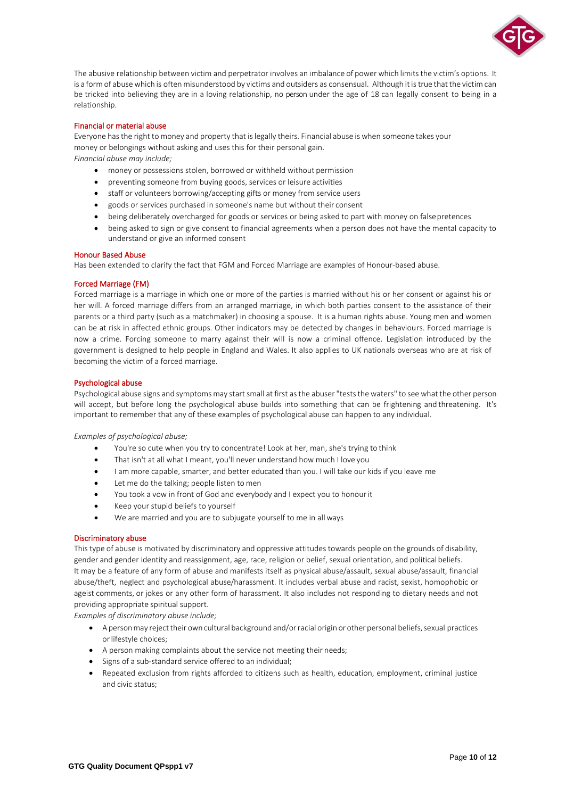

The abusive relationship between victim and perpetrator involves an imbalance of power which limits the victim's options. It is a form of abuse which is often misunderstood by victims and outsiders as consensual. Although it is true that the victim can be tricked into believing they are in a loving relationship, no person under the age of 18 can legally consent to being in a relationship.

### Financial or material abuse

Everyone has the right to money and property that is legally theirs. Financial abuse is when someone takes your money or belongings without asking and uses this for their personal gain. *Financial abuse may include;*

- money or possessions stolen, borrowed or withheld without permission
- preventing someone from buying goods, services or leisure activities
- staff or volunteers borrowing/accepting gifts or money from service users
- goods or services purchased in someone's name but without their consent
- being deliberately overcharged for goods or services or being asked to part with money on falsepretences
- being asked to sign or give consent to financial agreements when a person does not have the mental capacity to understand or give an informed consent

#### Honour Based Abuse

Has been extended to clarify the fact that FGM and Forced Marriage are examples of Honour-based abuse.

#### Forced Marriage (FM)

Forced marriage is a marriage in which one or more of the parties is married without his or her consent or against his or her will. A forced marriage differs from an arranged marriage, in which both parties consent to the assistance of their parents or a third party (such as a matchmaker) in choosing a spouse. It is a human rights abuse. Young men and women can be at risk in affected ethnic groups. Other indicators may be detected by changes in behaviours. Forced marriage is now a crime. Forcing someone to marry against their will is now a criminal offence. Legislation introduced by the government is designed to help people in England and Wales. It also applies to UK nationals overseas who are at risk of becoming the victim of a forced marriage.

#### Psychological abuse

Psychological abuse signs and symptoms may start small at first as the abuser "tests the waters" to see what the other person will accept, but before long the psychological abuse builds into something that can be frightening and threatening. It's important to remember that any of these examples of psychological abuse can happen to any individual.

*Examples of psychological abuse;*

- You're so cute when you try to concentrate! Look at her, man, she's trying to think
- That isn't at all what I meant, you'll never understand how much I love you
- I am more capable, smarter, and better educated than you. I will take our kids if you leave me
- Let me do the talking; people listen to men
- You took a vow in front of God and everybody and I expect you to honourit
- Keep your stupid beliefs to yourself
- We are married and you are to subjugate yourself to me in all ways

#### Discriminatory abuse

This type of abuse is motivated by discriminatory and oppressive attitudes towards people on the grounds of disability, gender and gender identity and reassignment, age, race, religion or belief, sexual orientation, and political beliefs. It may be a feature of any form of abuse and manifests itself as physical abuse/assault, sexual abuse/assault, financial abuse/theft, neglect and psychological abuse/harassment. It includes verbal abuse and racist, sexist, homophobic or ageist comments, or jokes or any other form of harassment. It also includes not responding to dietary needs and not providing appropriate spiritual support.

*Examples of discriminatory abuse include;*

- A person may reject their own cultural background and/or racial origin or other personal beliefs, sexual practices or lifestyle choices;
- A person making complaints about the service not meeting their needs;
- Signs of a sub-standard service offered to an individual;
- Repeated exclusion from rights afforded to citizens such as health, education, employment, criminal justice and civic status;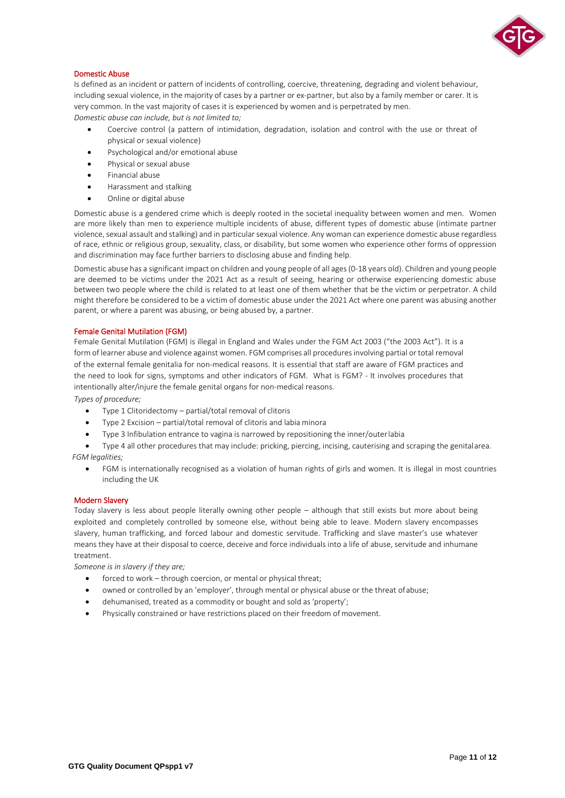

# Domestic Abuse

Is defined as an incident or pattern of incidents of controlling, coercive, threatening, degrading and violent behaviour, including sexual violence, in the majority of cases by a partner or ex-partner, but also by a family member or carer. It is very common. In the vast majority of cases it is experienced by women and is perpetrated by men. *Domestic abuse can include, but is not limited to;*

- Coercive control (a pattern of intimidation, degradation, isolation and control with the use or threat of physical or sexual violence)
- Psychological and/or emotional abuse
- Physical or sexual abuse
- Financial abuse
- Harassment and stalking
- Online or digital abuse

Domestic abuse is a gendered crime which is deeply rooted in the societal inequality between women and men. Women are more likely than men to experience multiple incidents of abuse, different types of domestic abuse (intimate partner violence, sexual assault and stalking) and in particular sexual violence. Any woman can experience domestic abuse regardless of race, ethnic or religious group, sexuality, class, or disability, but some women who experience other forms of oppression and discrimination may face further barriers to disclosing abuse and finding help.

Domestic abuse has a significant impact on children and young people of all ages (0-18 years old). Children and young people are deemed to be victims under the 2021 Act as a result of seeing, hearing or otherwise experiencing domestic abuse between two people where the child is related to at least one of them whether that be the victim or perpetrator. A child might therefore be considered to be a victim of domestic abuse under the 2021 Act where one parent was abusing another parent, or where a parent was abusing, or being abused by, a partner.

#### Female Genital Mutilation (FGM)

Female Genital Mutilation (FGM) is illegal in England and Wales under the FGM Act 2003 ("the 2003 Act"). It is a form of learner abuse and violence against women. FGM comprises all procedures involving partial or total removal of the external female genitalia for non-medical reasons. It is essential that staff are aware of FGM practices and the need to look for signs, symptoms and other indicators of FGM. What is FGM? - It involves procedures that intentionally alter/injure the female genital organs for non-medical reasons. *Types of procedure;*

- Type 1 Clitoridectomy partial/total removal of clitoris
- Type 2 Excision partial/total removal of clitoris and labia minora
- Type 3 Infibulation entrance to vagina is narrowed by repositioning the inner/outerlabia

• Type 4 all other procedures that may include: pricking, piercing, incising, cauterising and scraping the genitalarea. *FGM legalities;*

• FGM is internationally recognised as a violation of human rights of girls and women. It is illegal in most countries including the UK

#### Modern Slavery

Today slavery is less about people literally owning other people – although that still exists but more about being exploited and completely controlled by someone else, without being able to leave. Modern slavery encompasses slavery, human trafficking, and forced labour and domestic servitude. Trafficking and slave master's use whatever means they have at their disposal to coerce, deceive and force individuals into a life of abuse, servitude and inhumane treatment.

*Someone is in slavery if they are;*

- forced to work through coercion, or mental or physical threat;
- owned or controlled by an 'employer', through mental or physical abuse or the threat of abuse;
- dehumanised, treated as a commodity or bought and sold as'property';
- Physically constrained or have restrictions placed on their freedom of movement.